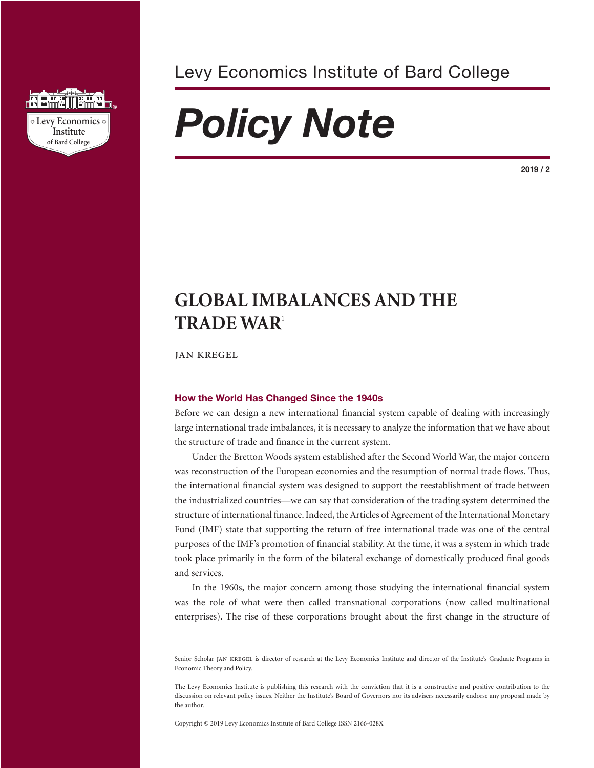

Levy Economics Institute of Bard College

# *Policy Note*

**2019 / 2**

# **GLOBAL IMBALANCES AND THE TRADE WAR**<sup>1</sup>

jan kregel

# **How the World Has Changed Since the 1940s**

Before we can design a new international financial system capable of dealing with increasingly large international trade imbalances, it is necessary to analyze the information that we have about the structure of trade and finance in the current system.

Under the Bretton Woods system established after the Second World War, the major concern was reconstruction of the European economies and the resumption of normal trade flows. Thus, the international financial system was designed to support the reestablishment of trade between the industrialized countries—we can say that consideration of the trading system determined the structure of international finance. Indeed, the Articles of Agreement of the International Monetary Fund (IMF) state that supporting the return of free international trade was one of the central purposes of the IMF's promotion of financial stability. At the time, it was a system in which trade took place primarily in the form of the bilateral exchange of domestically produced final goods and services.

In the 1960s, the major concern among those studying the international financial system was the role of what were then called transnational corporations (now called multinational enterprises). The rise of these corporations brought about the first change in the structure of

Copyright © 2019 Levy Economics Institute of Bard College ISSN 2166-028X

Senior Scholar JAN KREGEL is director of research at the Levy Economics Institute and director of the Institute's Graduate Programs in Economic Theory and Policy.

The Levy Economics Institute is publishing this research with the conviction that it is a constructive and positive contribution to the discussion on relevant policy issues. Neither the Institute's Board of Governors nor its advisers necessarily endorse any proposal made by the author.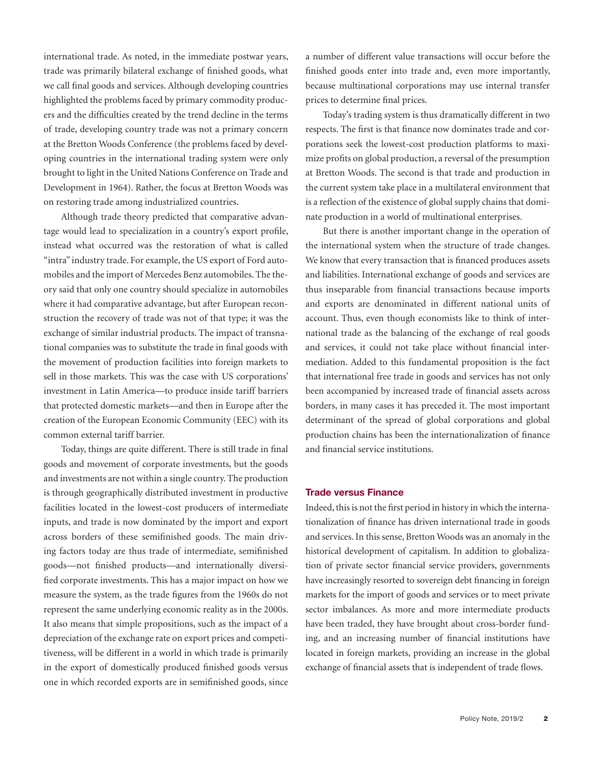international trade. As noted, in the immediate postwar years, trade was primarily bilateral exchange of finished goods, what we call final goods and services. Although developing countries highlighted the problems faced by primary commodity producers and the difficulties created by the trend decline in the terms of trade, developing country trade was not a primary concern at the Bretton Woods Conference (the problems faced by developing countries in the international trading system were only brought to light in the United Nations Conference on Trade and Development in 1964). Rather, the focus at Bretton Woods was on restoring trade among industrialized countries.

Although trade theory predicted that comparative advantage would lead to specialization in a country's export profile, instead what occurred was the restoration of what is called "intra" industry trade. For example, the US export of Ford automobiles and the import of Mercedes Benz automobiles. The theory said that only one country should specialize in automobiles where it had comparative advantage, but after European reconstruction the recovery of trade was not of that type; it was the exchange of similar industrial products. The impact of transnational companies was to substitute the trade in final goods with the movement of production facilities into foreign markets to sell in those markets. This was the case with US corporations' investment in Latin America—to produce inside tariff barriers that protected domestic markets—and then in Europe after the creation of the European Economic Community (EEC) with its common external tariff barrier.

Today, things are quite different. There is still trade in final goods and movement of corporate investments, but the goods and investments are not within a single country. The production is through geographically distributed investment in productive facilities located in the lowest-cost producers of intermediate inputs, and trade is now dominated by the import and export across borders of these semifinished goods. The main driving factors today are thus trade of intermediate, semifinished goods—not finished products—and internationally diversified corporate investments. This has a major impact on how we measure the system, as the trade figures from the 1960s do not represent the same underlying economic reality as in the 2000s. It also means that simple propositions, such as the impact of a depreciation of the exchange rate on export prices and competitiveness, will be different in a world in which trade is primarily in the export of domestically produced finished goods versus one in which recorded exports are in semifinished goods, since

a number of different value transactions will occur before the finished goods enter into trade and, even more importantly, because multinational corporations may use internal transfer prices to determine final prices.

Today's trading system is thus dramatically different in two respects. The first is that finance now dominates trade and corporations seek the lowest-cost production platforms to maximize profits on global production, a reversal of the presumption at Bretton Woods. The second is that trade and production in the current system take place in a multilateral environment that is a reflection of the existence of global supply chains that dominate production in a world of multinational enterprises.

But there is another important change in the operation of the international system when the structure of trade changes. We know that every transaction that is financed produces assets and liabilities. International exchange of goods and services are thus inseparable from financial transactions because imports and exports are denominated in different national units of account. Thus, even though economists like to think of international trade as the balancing of the exchange of real goods and services, it could not take place without financial intermediation. Added to this fundamental proposition is the fact that international free trade in goods and services has not only been accompanied by increased trade of financial assets across borders, in many cases it has preceded it. The most important determinant of the spread of global corporations and global production chains has been the internationalization of finance and financial service institutions.

### **Trade versus Finance**

Indeed, this is not the first period in history in which the internationalization of finance has driven international trade in goods and services. In this sense, Bretton Woods was an anomaly in the historical development of capitalism. In addition to globalization of private sector financial service providers, governments have increasingly resorted to sovereign debt financing in foreign markets for the import of goods and services or to meet private sector imbalances. As more and more intermediate products have been traded, they have brought about cross-border funding, and an increasing number of financial institutions have located in foreign markets, providing an increase in the global exchange of financial assets that is independent of trade flows.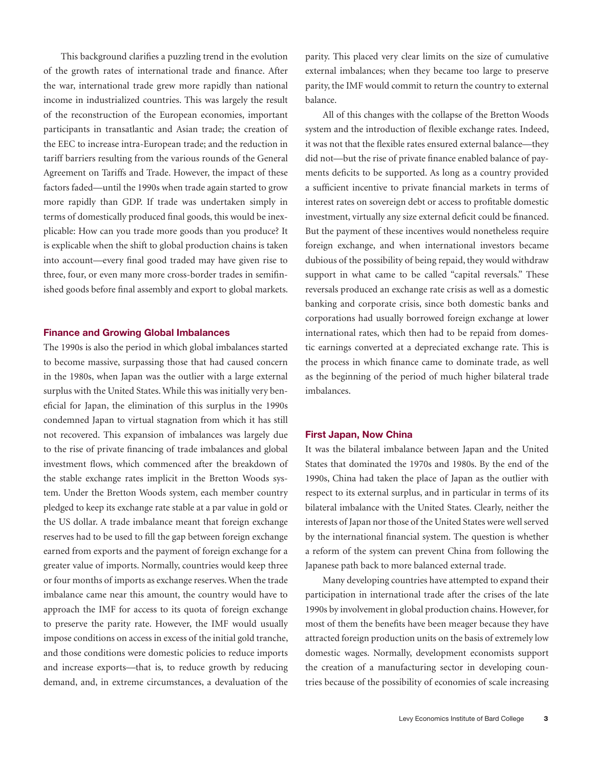This background clarifies a puzzling trend in the evolution of the growth rates of international trade and finance. After the war, international trade grew more rapidly than national income in industrialized countries. This was largely the result of the reconstruction of the European economies, important participants in transatlantic and Asian trade; the creation of the EEC to increase intra-European trade; and the reduction in tariff barriers resulting from the various rounds of the General Agreement on Tariffs and Trade. However, the impact of these factors faded—until the 1990s when trade again started to grow more rapidly than GDP. If trade was undertaken simply in terms of domestically produced final goods, this would be inexplicable: How can you trade more goods than you produce? It is explicable when the shift to global production chains is taken into account—every final good traded may have given rise to three, four, or even many more cross-border trades in semifinished goods before final assembly and export to global markets.

#### **Finance and Growing Global Imbalances**

The 1990s is also the period in which global imbalances started to become massive, surpassing those that had caused concern in the 1980s, when Japan was the outlier with a large external surplus with the United States. While this was initially very beneficial for Japan, the elimination of this surplus in the 1990s condemned Japan to virtual stagnation from which it has still not recovered. This expansion of imbalances was largely due to the rise of private financing of trade imbalances and global investment flows, which commenced after the breakdown of the stable exchange rates implicit in the Bretton Woods system. Under the Bretton Woods system, each member country pledged to keep its exchange rate stable at a par value in gold or the US dollar. A trade imbalance meant that foreign exchange reserves had to be used to fill the gap between foreign exchange earned from exports and the payment of foreign exchange for a greater value of imports. Normally, countries would keep three or four months of imports as exchange reserves. When the trade imbalance came near this amount, the country would have to approach the IMF for access to its quota of foreign exchange to preserve the parity rate. However, the IMF would usually impose conditions on access in excess of the initial gold tranche, and those conditions were domestic policies to reduce imports and increase exports—that is, to reduce growth by reducing demand, and, in extreme circumstances, a devaluation of the

parity. This placed very clear limits on the size of cumulative external imbalances; when they became too large to preserve parity, the IMF would commit to return the country to external balance.

All of this changes with the collapse of the Bretton Woods system and the introduction of flexible exchange rates. Indeed, it was not that the flexible rates ensured external balance—they did not—but the rise of private finance enabled balance of payments deficits to be supported. As long as a country provided a sufficient incentive to private financial markets in terms of interest rates on sovereign debt or access to profitable domestic investment, virtually any size external deficit could be financed. But the payment of these incentives would nonetheless require foreign exchange, and when international investors became dubious of the possibility of being repaid, they would withdraw support in what came to be called "capital reversals." These reversals produced an exchange rate crisis as well as a domestic banking and corporate crisis, since both domestic banks and corporations had usually borrowed foreign exchange at lower international rates, which then had to be repaid from domestic earnings converted at a depreciated exchange rate. This is the process in which finance came to dominate trade, as well as the beginning of the period of much higher bilateral trade imbalances.

#### **First Japan, Now China**

It was the bilateral imbalance between Japan and the United States that dominated the 1970s and 1980s. By the end of the 1990s, China had taken the place of Japan as the outlier with respect to its external surplus, and in particular in terms of its bilateral imbalance with the United States. Clearly, neither the interests of Japan nor those of the United States were well served by the international financial system. The question is whether a reform of the system can prevent China from following the Japanese path back to more balanced external trade.

Many developing countries have attempted to expand their participation in international trade after the crises of the late 1990s by involvement in global production chains. However, for most of them the benefits have been meager because they have attracted foreign production units on the basis of extremely low domestic wages. Normally, development economists support the creation of a manufacturing sector in developing countries because of the possibility of economies of scale increasing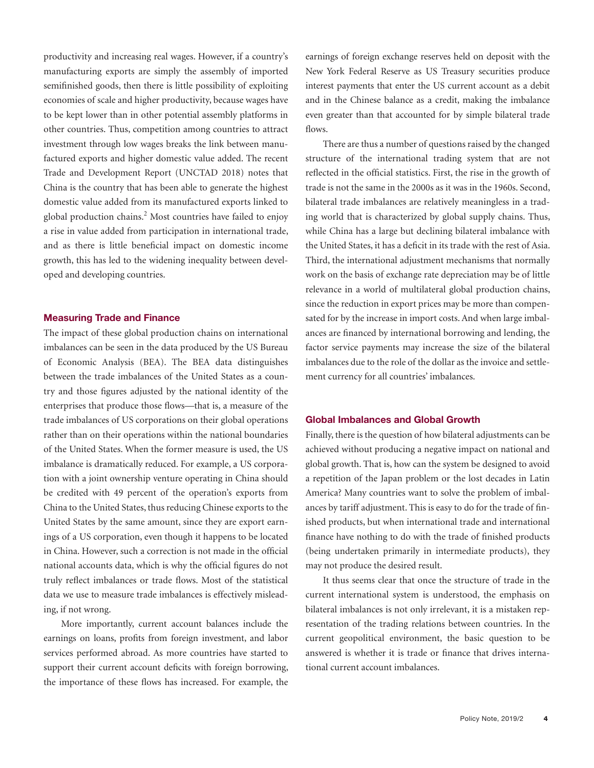productivity and increasing real wages. However, if a country's manufacturing exports are simply the assembly of imported semifinished goods, then there is little possibility of exploiting economies of scale and higher productivity, because wages have to be kept lower than in other potential assembly platforms in other countries. Thus, competition among countries to attract investment through low wages breaks the link between manufactured exports and higher domestic value added. The recent Trade and Development Report (UNCTAD 2018) notes that China is the country that has been able to generate the highest domestic value added from its manufactured exports linked to global production chains.<sup>2</sup> Most countries have failed to enjoy a rise in value added from participation in international trade, and as there is little beneficial impact on domestic income growth, this has led to the widening inequality between developed and developing countries.

#### **Measuring Trade and Finance**

The impact of these global production chains on international imbalances can be seen in the data produced by the US Bureau of Economic Analysis (BEA). The BEA data distinguishes between the trade imbalances of the United States as a country and those figures adjusted by the national identity of the enterprises that produce those flows—that is, a measure of the trade imbalances of US corporations on their global operations rather than on their operations within the national boundaries of the United States. When the former measure is used, the US imbalance is dramatically reduced. For example, a US corporation with a joint ownership venture operating in China should be credited with 49 percent of the operation's exports from China to the United States, thus reducing Chinese exports to the United States by the same amount, since they are export earnings of a US corporation, even though it happens to be located in China. However, such a correction is not made in the official national accounts data, which is why the official figures do not truly reflect imbalances or trade flows. Most of the statistical data we use to measure trade imbalances is effectively misleading, if not wrong.

More importantly, current account balances include the earnings on loans, profits from foreign investment, and labor services performed abroad. As more countries have started to support their current account deficits with foreign borrowing, the importance of these flows has increased. For example, the earnings of foreign exchange reserves held on deposit with the New York Federal Reserve as US Treasury securities produce interest payments that enter the US current account as a debit and in the Chinese balance as a credit, making the imbalance even greater than that accounted for by simple bilateral trade flows.

There are thus a number of questions raised by the changed structure of the international trading system that are not reflected in the official statistics. First, the rise in the growth of trade is not the same in the 2000s as it was in the 1960s. Second, bilateral trade imbalances are relatively meaningless in a trading world that is characterized by global supply chains. Thus, while China has a large but declining bilateral imbalance with the United States, it has a deficit in its trade with the rest of Asia. Third, the international adjustment mechanisms that normally work on the basis of exchange rate depreciation may be of little relevance in a world of multilateral global production chains, since the reduction in export prices may be more than compensated for by the increase in import costs. And when large imbalances are financed by international borrowing and lending, the factor service payments may increase the size of the bilateral imbalances due to the role of the dollar as the invoice and settlement currency for all countries' imbalances.

#### **Global Imbalances and Global Growth**

Finally, there is the question of how bilateral adjustments can be achieved without producing a negative impact on national and global growth. That is, how can the system be designed to avoid a repetition of the Japan problem or the lost decades in Latin America? Many countries want to solve the problem of imbalances by tariff adjustment. This is easy to do for the trade of finished products, but when international trade and international finance have nothing to do with the trade of finished products (being undertaken primarily in intermediate products), they may not produce the desired result.

It thus seems clear that once the structure of trade in the current international system is understood, the emphasis on bilateral imbalances is not only irrelevant, it is a mistaken representation of the trading relations between countries. In the current geopolitical environment, the basic question to be answered is whether it is trade or finance that drives international current account imbalances.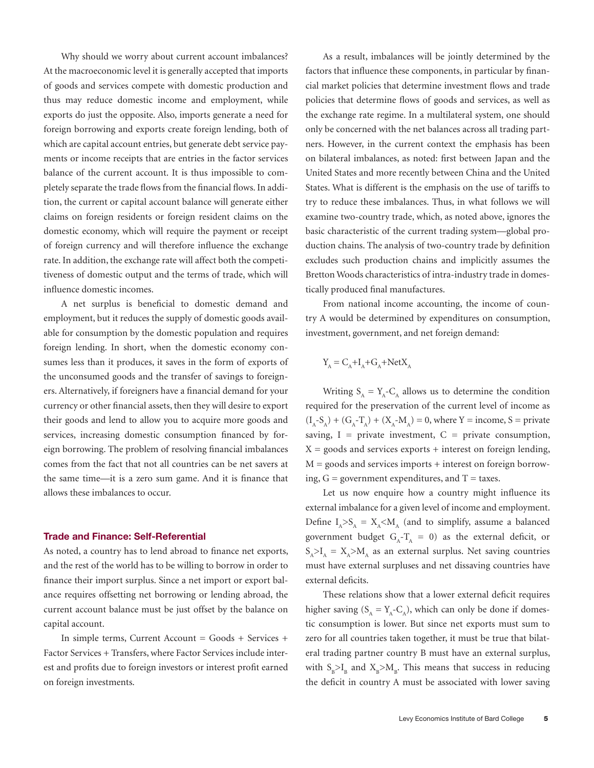Why should we worry about current account imbalances? At the macroeconomic level it is generally accepted that imports of goods and services compete with domestic production and thus may reduce domestic income and employment, while exports do just the opposite. Also, imports generate a need for foreign borrowing and exports create foreign lending, both of which are capital account entries, but generate debt service payments or income receipts that are entries in the factor services balance of the current account. It is thus impossible to completely separate the trade flows from the financial flows. In addition, the current or capital account balance will generate either claims on foreign residents or foreign resident claims on the domestic economy, which will require the payment or receipt of foreign currency and will therefore influence the exchange rate. In addition, the exchange rate will affect both the competitiveness of domestic output and the terms of trade, which will influence domestic incomes.

A net surplus is beneficial to domestic demand and employment, but it reduces the supply of domestic goods available for consumption by the domestic population and requires foreign lending. In short, when the domestic economy consumes less than it produces, it saves in the form of exports of the unconsumed goods and the transfer of savings to foreigners. Alternatively, if foreigners have a financial demand for your currency or other financial assets, then they will desire to export their goods and lend to allow you to acquire more goods and services, increasing domestic consumption financed by foreign borrowing. The problem of resolving financial imbalances comes from the fact that not all countries can be net savers at the same time—it is a zero sum game. And it is finance that allows these imbalances to occur.

#### **Trade and Finance: Self-Referential**

As noted, a country has to lend abroad to finance net exports, and the rest of the world has to be willing to borrow in order to finance their import surplus. Since a net import or export balance requires offsetting net borrowing or lending abroad, the current account balance must be just offset by the balance on capital account.

In simple terms, Current Account = Goods + Services + Factor Services + Transfers, where Factor Services include interest and profits due to foreign investors or interest profit earned on foreign investments.

As a result, imbalances will be jointly determined by the factors that influence these components, in particular by financial market policies that determine investment flows and trade policies that determine flows of goods and services, as well as the exchange rate regime. In a multilateral system, one should only be concerned with the net balances across all trading partners. However, in the current context the emphasis has been on bilateral imbalances, as noted: first between Japan and the United States and more recently between China and the United States. What is different is the emphasis on the use of tariffs to try to reduce these imbalances. Thus, in what follows we will examine two-country trade, which, as noted above, ignores the basic characteristic of the current trading system—global production chains. The analysis of two-country trade by definition excludes such production chains and implicitly assumes the Bretton Woods characteristics of intra-industry trade in domestically produced final manufactures.

From national income accounting, the income of country A would be determined by expenditures on consumption, investment, government, and net foreign demand:

$$
Y_{A} = C_{A} + I_{A} + G_{A} + NetX_{A}
$$

Writing  $S_A = Y_A - C_A$  allows us to determine the condition required for the preservation of the current level of income as  $(I_A-S_A) + (G_A-T_A) + (X_A-M_A) = 0$ , where Y = income, S = private saving,  $I =$  private investment,  $C =$  private consumption,  $X =$  goods and services exports  $+$  interest on foreign lending,  $M =$  goods and services imports  $+$  interest on foreign borrowing,  $G =$  government expenditures, and  $T =$  taxes.

Let us now enquire how a country might influence its external imbalance for a given level of income and employment. Define  $I_A > S_A = X_A < M_A$  (and to simplify, assume a balanced government budget  $G_A - T_A = 0$ ) as the external deficit, or  $S_A > I_A = X_A > M_A$  as an external surplus. Net saving countries must have external surpluses and net dissaving countries have external deficits.

These relations show that a lower external deficit requires higher saving  $(S_A = Y_A - C_A)$ , which can only be done if domestic consumption is lower. But since net exports must sum to zero for all countries taken together, it must be true that bilateral trading partner country B must have an external surplus, with  $S_B > I_B$  and  $X_B > M_B$ . This means that success in reducing the deficit in country A must be associated with lower saving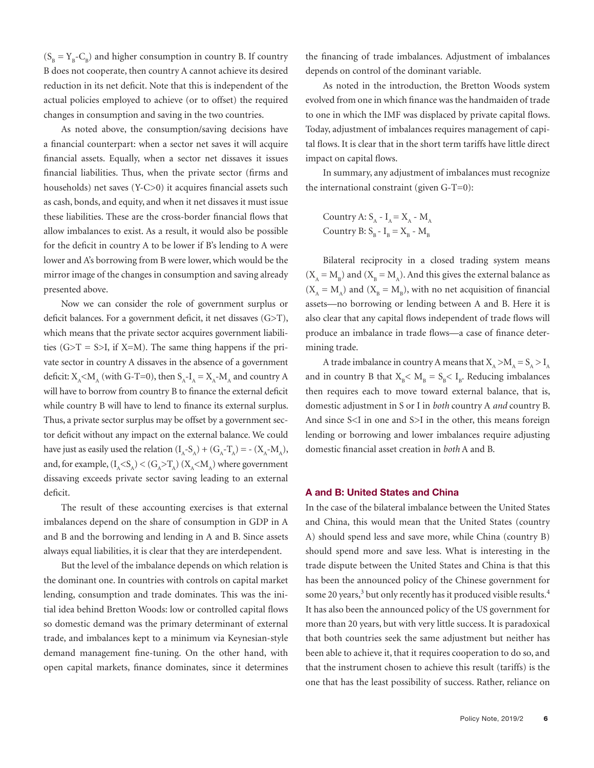$(S_B = Y_B - C_B)$  and higher consumption in country B. If country B does not cooperate, then country A cannot achieve its desired reduction in its net deficit. Note that this is independent of the actual policies employed to achieve (or to offset) the required changes in consumption and saving in the two countries.

As noted above, the consumption/saving decisions have a financial counterpart: when a sector net saves it will acquire financial assets. Equally, when a sector net dissaves it issues financial liabilities. Thus, when the private sector (firms and households) net saves (Y-C>0) it acquires financial assets such as cash, bonds, and equity, and when it net dissaves it must issue these liabilities. These are the cross-border financial flows that allow imbalances to exist. As a result, it would also be possible for the deficit in country A to be lower if B's lending to A were lower and A's borrowing from B were lower, which would be the mirror image of the changes in consumption and saving already presented above.

Now we can consider the role of government surplus or deficit balances. For a government deficit, it net dissaves (G>T), which means that the private sector acquires government liabilities  $(G>T = S > I$ , if  $X=M$ ). The same thing happens if the private sector in country A dissaves in the absence of a government deficit:  $X_A < M_A$  (with G-T=0), then  $S_A - I_A = X_A - M_A$  and country A will have to borrow from country B to finance the external deficit while country B will have to lend to finance its external surplus. Thus, a private sector surplus may be offset by a government sector deficit without any impact on the external balance. We could have just as easily used the relation  $(I_A - S_A) + (G_A - T_A) = - (X_A - M_A)$ , and, for example,  $(I_A < S_A) < (G_A > T_A) (X_A < M_A)$  where government dissaving exceeds private sector saving leading to an external deficit.

The result of these accounting exercises is that external imbalances depend on the share of consumption in GDP in A and B and the borrowing and lending in A and B. Since assets always equal liabilities, it is clear that they are interdependent.

But the level of the imbalance depends on which relation is the dominant one. In countries with controls on capital market lending, consumption and trade dominates. This was the initial idea behind Bretton Woods: low or controlled capital flows so domestic demand was the primary determinant of external trade, and imbalances kept to a minimum via Keynesian-style demand management fine-tuning. On the other hand, with open capital markets, finance dominates, since it determines the financing of trade imbalances. Adjustment of imbalances depends on control of the dominant variable.

As noted in the introduction, the Bretton Woods system evolved from one in which finance was the handmaiden of trade to one in which the IMF was displaced by private capital flows. Today, adjustment of imbalances requires management of capital flows. It is clear that in the short term tariffs have little direct impact on capital flows.

In summary, any adjustment of imbalances must recognize the international constraint (given G-T=0):

Country A: 
$$
S_A - I_A = X_A - M_A
$$
  
Country B:  $S_B - I_B = X_B - M_B$ 

Bilateral reciprocity in a closed trading system means  $(X_A = M_B)$  and  $(X_B = M_A)$ . And this gives the external balance as  $(X_A = M_A)$  and  $(X_B = M_B)$ , with no net acquisition of financial assets—no borrowing or lending between A and B. Here it is also clear that any capital flows independent of trade flows will produce an imbalance in trade flows—a case of finance determining trade.

A trade imbalance in country A means that  $X_A > M_A = S_A > I_A$ and in country B that  $X_B < M_B = S_B < I_B$ . Reducing imbalances then requires each to move toward external balance, that is, domestic adjustment in S or I in *both* country A *and* country B. And since S<I in one and S>I in the other, this means foreign lending or borrowing and lower imbalances require adjusting domestic financial asset creation in *both* A and B.

#### **A and B: United States and China**

In the case of the bilateral imbalance between the United States and China, this would mean that the United States (country A) should spend less and save more, while China (country B) should spend more and save less. What is interesting in the trade dispute between the United States and China is that this has been the announced policy of the Chinese government for some 20 years,<sup>3</sup> but only recently has it produced visible results.<sup>4</sup> It has also been the announced policy of the US government for more than 20 years, but with very little success. It is paradoxical that both countries seek the same adjustment but neither has been able to achieve it, that it requires cooperation to do so, and that the instrument chosen to achieve this result (tariffs) is the one that has the least possibility of success. Rather, reliance on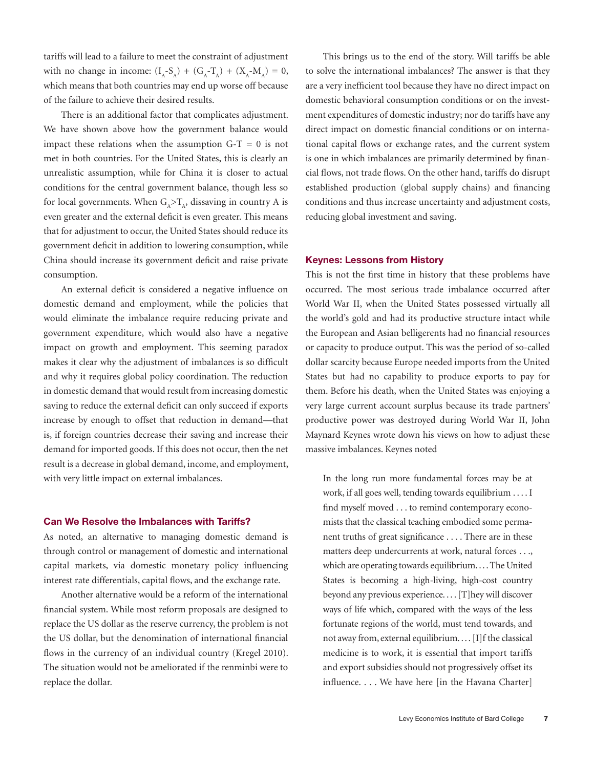tariffs will lead to a failure to meet the constraint of adjustment with no change in income:  $(I_A - S_A) + (G_A - T_A) + (X_A - M_A) = 0$ , which means that both countries may end up worse off because of the failure to achieve their desired results.

There is an additional factor that complicates adjustment. We have shown above how the government balance would impact these relations when the assumption  $G-T = 0$  is not met in both countries. For the United States, this is clearly an unrealistic assumption, while for China it is closer to actual conditions for the central government balance, though less so for local governments. When  $G_A > T_A$ , dissaving in country A is even greater and the external deficit is even greater. This means that for adjustment to occur, the United States should reduce its government deficit in addition to lowering consumption, while China should increase its government deficit and raise private consumption.

An external deficit is considered a negative influence on domestic demand and employment, while the policies that would eliminate the imbalance require reducing private and government expenditure, which would also have a negative impact on growth and employment. This seeming paradox makes it clear why the adjustment of imbalances is so difficult and why it requires global policy coordination. The reduction in domestic demand that would result from increasing domestic saving to reduce the external deficit can only succeed if exports increase by enough to offset that reduction in demand—that is, if foreign countries decrease their saving and increase their demand for imported goods. If this does not occur, then the net result is a decrease in global demand, income, and employment, with very little impact on external imbalances.

#### **Can We Resolve the Imbalances with Tariffs?**

As noted, an alternative to managing domestic demand is through control or management of domestic and international capital markets, via domestic monetary policy influencing interest rate differentials, capital flows, and the exchange rate.

Another alternative would be a reform of the international financial system. While most reform proposals are designed to replace the US dollar as the reserve currency, the problem is not the US dollar, but the denomination of international financial flows in the currency of an individual country (Kregel 2010). The situation would not be ameliorated if the renminbi were to replace the dollar.

This brings us to the end of the story. Will tariffs be able to solve the international imbalances? The answer is that they are a very inefficient tool because they have no direct impact on domestic behavioral consumption conditions or on the investment expenditures of domestic industry; nor do tariffs have any direct impact on domestic financial conditions or on international capital flows or exchange rates, and the current system is one in which imbalances are primarily determined by financial flows, not trade flows. On the other hand, tariffs do disrupt established production (global supply chains) and financing conditions and thus increase uncertainty and adjustment costs, reducing global investment and saving.

#### **Keynes: Lessons from History**

This is not the first time in history that these problems have occurred. The most serious trade imbalance occurred after World War II, when the United States possessed virtually all the world's gold and had its productive structure intact while the European and Asian belligerents had no financial resources or capacity to produce output. This was the period of so-called dollar scarcity because Europe needed imports from the United States but had no capability to produce exports to pay for them. Before his death, when the United States was enjoying a very large current account surplus because its trade partners' productive power was destroyed during World War II, John Maynard Keynes wrote down his views on how to adjust these massive imbalances. Keynes noted

In the long run more fundamental forces may be at work, if all goes well, tending towards equilibrium . . . . I find myself moved . . . to remind contemporary economists that the classical teaching embodied some permanent truths of great significance . . . . There are in these matters deep undercurrents at work, natural forces . . ., which are operating towards equilibrium. . . . The United States is becoming a high-living, high-cost country beyond any previous experience. . . . [T]hey will discover ways of life which, compared with the ways of the less fortunate regions of the world, must tend towards, and not away from, external equilibrium. . . . [I]f the classical medicine is to work, it is essential that import tariffs and export subsidies should not progressively offset its influence. . . . We have here [in the Havana Charter]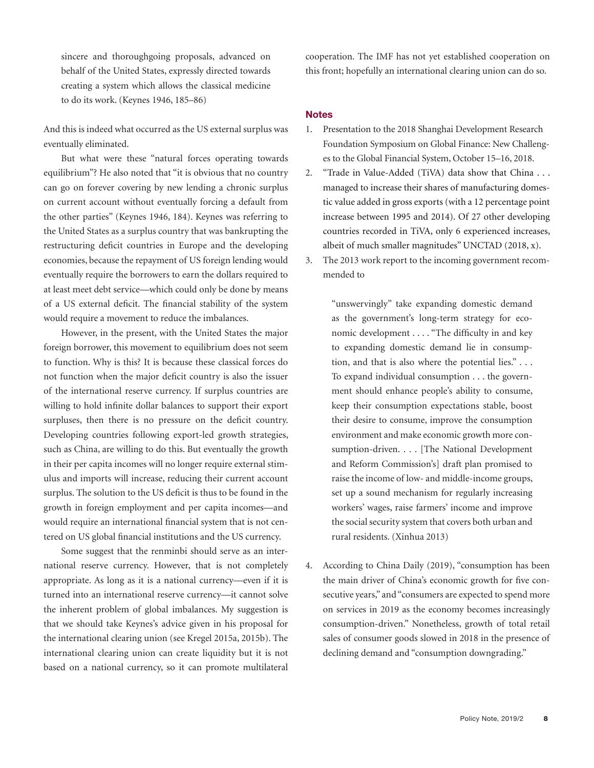sincere and thoroughgoing proposals, advanced on behalf of the United States, expressly directed towards creating a system which allows the classical medicine to do its work. (Keynes 1946, 185–86)

And this is indeed what occurred as the US external surplus was eventually eliminated.

But what were these "natural forces operating towards equilibrium"? He also noted that "it is obvious that no country can go on forever covering by new lending a chronic surplus on current account without eventually forcing a default from the other parties" (Keynes 1946, 184). Keynes was referring to the United States as a surplus country that was bankrupting the restructuring deficit countries in Europe and the developing economies, because the repayment of US foreign lending would eventually require the borrowers to earn the dollars required to at least meet debt service—which could only be done by means of a US external deficit. The financial stability of the system would require a movement to reduce the imbalances.

However, in the present, with the United States the major foreign borrower, this movement to equilibrium does not seem to function. Why is this? It is because these classical forces do not function when the major deficit country is also the issuer of the international reserve currency. If surplus countries are willing to hold infinite dollar balances to support their export surpluses, then there is no pressure on the deficit country. Developing countries following export-led growth strategies, such as China, are willing to do this. But eventually the growth in their per capita incomes will no longer require external stimulus and imports will increase, reducing their current account surplus. The solution to the US deficit is thus to be found in the growth in foreign employment and per capita incomes—and would require an international financial system that is not centered on US global financial institutions and the US currency.

Some suggest that the renminbi should serve as an international reserve currency. However, that is not completely appropriate. As long as it is a national currency—even if it is turned into an international reserve currency—it cannot solve the inherent problem of global imbalances. My suggestion is that we should take Keynes's advice given in his proposal for the international clearing union (see Kregel 2015a, 2015b). The international clearing union can create liquidity but it is not based on a national currency, so it can promote multilateral

cooperation. The IMF has not yet established cooperation on this front; hopefully an international clearing union can do so.

#### **Notes**

- 1. Presentation to the 2018 Shanghai Development Research Foundation Symposium on Global Finance: New Challenges to the Global Financial System, October 15–16, 2018.
- 2. "Trade in Value-Added (TiVA) data show that China . . . managed to increase their shares of manufacturing domestic value added in gross exports (with a 12 percentage point increase between 1995 and 2014). Of 27 other developing countries recorded in TiVA, only 6 experienced increases, albeit of much smaller magnitudes" UNCTAD (2018, x).
- 3. The 2013 work report to the incoming government recommended to

"unswervingly" take expanding domestic demand as the government's long-term strategy for economic development . . . . "The difficulty in and key to expanding domestic demand lie in consumption, and that is also where the potential lies." . . . To expand individual consumption . . . the government should enhance people's ability to consume, keep their consumption expectations stable, boost their desire to consume, improve the consumption environment and make economic growth more consumption-driven. . . . [The National Development and Reform Commission's] draft plan promised to raise the income of low- and middle-income groups, set up a sound mechanism for regularly increasing workers' wages, raise farmers' income and improve the social security system that covers both urban and rural residents. (Xinhua 2013)

4. According to China Daily (2019), "consumption has been the main driver of China's economic growth for five consecutive years," and "consumers are expected to spend more on services in 2019 as the economy becomes increasingly consumption-driven." Nonetheless, growth of total retail sales of consumer goods slowed in 2018 in the presence of declining demand and "consumption downgrading."